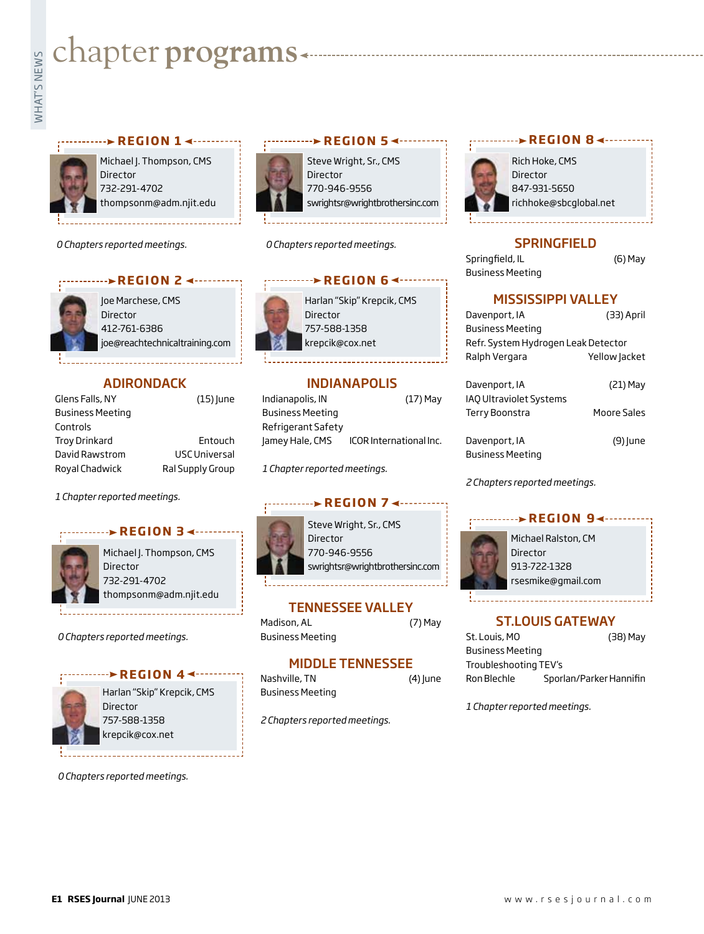# **whater programs**<br>Example:<br>Fig. 1



Michael J. Thompson, CMS Director 732-291-4702 thompsonm@adm.njit.edu

*0 Chapters reported meetings.*



Joe Marchese, CMS Director 412-761-6386 joe@reachtechnicaltraining.com

# **ADIRONDACK**

| Glens Falls, NY         | $(15)$ June          |
|-------------------------|----------------------|
| <b>Business Meeting</b> |                      |
| Controls                |                      |
| <b>Troy Drinkard</b>    | Entouch              |
| David Rawstrom          | <b>USC Universal</b> |
| Royal Chadwick          | Ral Supply Group     |

*1 Chapter reported meetings.*

# **REGION 34 -------**



Michael J. Thompson, CMS **Director** 732-291-4702 thompsonm@adm.njit.edu

*0 Chapters reported meetings.*

# **REGION 44 -------**



Harlan "Skip" Krepcik, CMS Director 757-588-1358 krepcik@cox.net

*0 Chapters reported meetings.*



Steve Wright, Sr., CMS Director 770-946-9556 swrightsr@wrightbrothersinc.com

*0 Chapters reported meetings.*

# Harlan "Skip" Krepcik, CMS Director 757-588-1358 krepcik@cox.net *<u>REGION 64........</u>*

# INDIANAPOLIS

| Indianapolis, IN        | $(17)$ May              |
|-------------------------|-------------------------|
| <b>Business Meeting</b> |                         |
| Refrigerant Safety      |                         |
| Jamey Hale, CMS         | ICOR International Inc. |

*1 Chapter reported meetings.*

# **REGION 7 ∢ ········**

Steve Wright, Sr., CMS Director 770-946-9556 swrightsr@wrightbrothersinc.com

# TENNESSEE VALLEY

Madison, AL (7) May Business Meeting

# MIDDLE TENNESSEE

| Nashville, TN    | $(4)$ June |
|------------------|------------|
| Business Meeting |            |

*2 Chapters reported meetings.*



Rich Hoke, CMS Director 847-931-5650 richhoke@sbcglobal.net

# **SPRINGFIELD**

Springfield, IL (6) May Business Meeting

# MISSISSIPPI VALLEY

| Davenport, IA                       | (33) April    |  |
|-------------------------------------|---------------|--|
| <b>Business Meeting</b>             |               |  |
| Refr. System Hydrogen Leak Detector |               |  |
| Ralph Vergara                       | Yellow Jacket |  |
|                                     |               |  |
| Davenport, IA                       | $(21)$ May    |  |
| <b>IAO Ultraviolet Systems</b>      |               |  |
| Terry Boonstra                      | Moore Sales   |  |

Davenport, IA (9) June Business Meeting

*2 Chapters reported meetings.*



# rsesmike@gmail.com

# ST.LOUIS GATEWAY

St. Louis, MO (38) May Business Meeting Troubleshooting TEV's Ron Blechle Sporlan/Parker Hannifin

*1 Chapter reported meetings.*